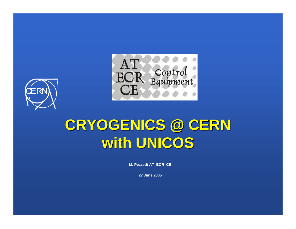



## **CRYOGENICS CRYOGENICS @ CERN with UNICOS**

**M. Pezzetti AT\_ECR\_CE**

**27 June 2005**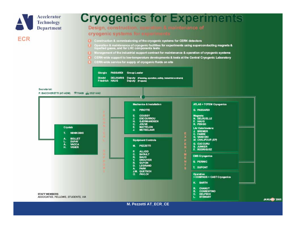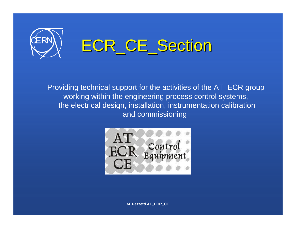

Providing technical support for the activities of the AT\_ECR group working within the engineering process control systems, the electrical design, installation, instrumentation calibration and commissioning

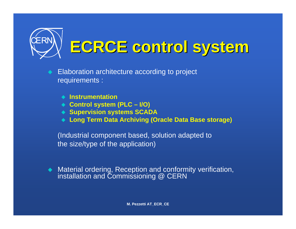

- ♦ Elaboration architecture according to project requirements :
	- **Instrumentation**
	- **Control system (PLC – I/O)**
	- **Supervision systems SCADA**
	- **Long Term Data Archiving (Oracle Data Base storage)**

(Industrial component based, solution adapted to the size/type of the application)

 $\blacklozenge$ Material ordering, Reception and conformity verification, installation and Commissioning @ CERN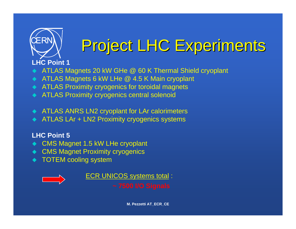

## Project LHC Experiments Project LHC Experiments

**LHC Point 1**

- ◆ ATLAS Magnets 20 kW GHe @ 60 K Thermal Shield cryoplant
- ◆ ATLAS Magnets 6 kW LHe @ 4.5 K Main cryoplant
- ATLAS Proximity cryogenics for toroidal magnets
- ATLAS Proximity cryogenics central solenoid
- ◆ ATLAS ANRS LN2 cryoplant for LAr calorimeters
- ◆ ATLAS LAr + LN2 Proximity cryogenics systems

### **LHC Point 5**

- ◆ CMS Magnet 1.5 kW LHe cryoplant
- ◆ CMS Magnet Proximity cryogenics
- ◆ TOTEM cooling system



ECR UNICOS systems total :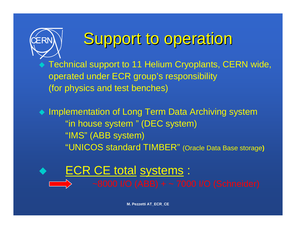

## Support to operation Support to operation

◆ Technical support to 11 Helium Cryoplants, CERN wide, operated under ECR group's responsibility (for physics and test benches)

◆ Implementation of Long Term Data Archiving system "in house system " (DEC system) "IMS" (ABB system) "UNICOS standard TIMBER" (Oracle Data Base storage**)**

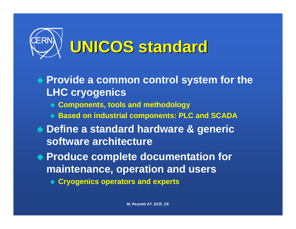

 **Provide a common control system for the LHC cryogenics Components, tools and methodology** ◆ **Based on industrial components: PLC and SCADA Define a standard hardware & generic software architecture Produce complete documentation for maintenance, operation and users Cryogenics operators and experts**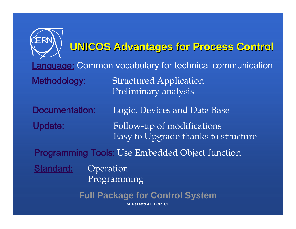| ERN                                                             | UNICOS Advantages for Process Control                             |  |  |  |  |  |  |
|-----------------------------------------------------------------|-------------------------------------------------------------------|--|--|--|--|--|--|
|                                                                 | <b>Language: Common vocabulary for technical communication</b>    |  |  |  |  |  |  |
| Methodology:                                                    | <b>Structured Application</b><br>Preliminary analysis             |  |  |  |  |  |  |
| Documentation:                                                  | Logic, Devices and Data Base                                      |  |  |  |  |  |  |
| <u>Update:</u>                                                  | Follow-up of modifications<br>Easy to Upgrade thanks to structure |  |  |  |  |  |  |
|                                                                 | <b>Programming Tools: Use Embedded Object function</b>            |  |  |  |  |  |  |
| <b>Standard:</b><br>Operation<br>Programming                    |                                                                   |  |  |  |  |  |  |
| <b>Full Package for Control System</b><br>M. Pezzetti AT_ECR_CE |                                                                   |  |  |  |  |  |  |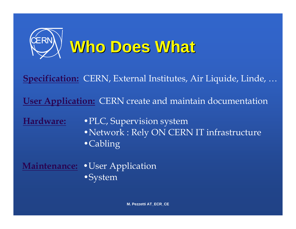

**Specification:** CERN, External Institutes, Air Liquide, Linde, …

**User Application: CERN create and maintain documentation** 

**Hardware:**

•PLC, Supervision system •Network : Rely ON CERN IT infrastructure •Cabling

•User Application **Maintenance:** •System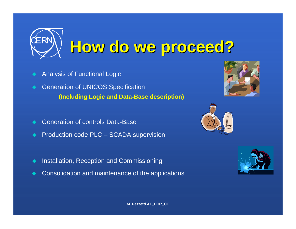

- ◆ Analysis of Functional Logic
- $\blacklozenge$  Generation of UNICOS Specification **(Including Logic and Data-Base description)**
- ◆ Generation of controls Data-Base
- ♦ Production code PLC – SCADA supervision
- $\blacklozenge$ Installation, Reception and Commissioning
- ♦ Consolidation and maintenance of the applications





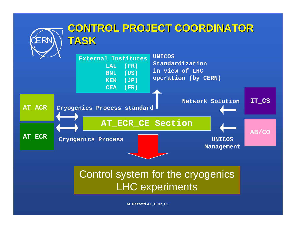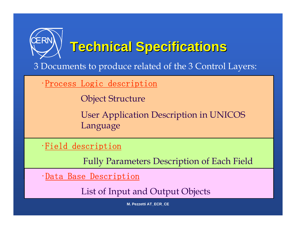# **Technical Specifications Technical Specifications**

3 Documents to produce related of the 3 Control Layers:

•Process Logic description

Object Structure

User Application Description in UNICOS Language

•Field description

Fully Parameters Description of Each Field

·Data Base Description

List of Input and Output Objects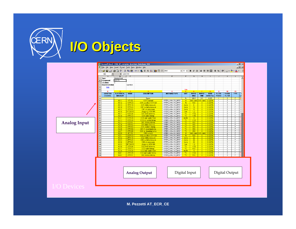

| File Edit View Insert Format Tools Data Window Help<br>D 2 B 3 3 B V & B 8 r · & Σ £ \$ 10 0 ? Arial<br>B I U   三三三国 \$ %   三   3 · A · A ·<br>$-11$ $-$<br><b>B2</b><br>$=$ QSC1H<br>$\overline{c}$<br>B<br>$\Box$<br>Ε<br>G<br>H<br>$\mathbf{J}$<br>1 Туре<br>Analog Input<br>2 Equipment<br>QSC1H<br>3 Location<br>4 Implementation<br>Quantum<br>Help<br>5<br>6<br>Help<br>$\overline{6}$<br>$\blacksquare$<br>$\overline{2}$<br>$6 -$<br>$\mathbf{7}$<br>$\overline{\mathbf{8}}$<br>-9<br>10<br>-11<br>$\overline{7}$<br>- 0<br>QUANTUM<br><b>ELECTRICAL</b><br><b>NAME</b><br><b>DESCRIPTION</b><br><b>INSTANCE TYPE</b><br><b>UNIT</b><br><b>RANGE</b><br><b>DEAD</b><br><b>FILTER</b><br><b>BOARD</b><br><b>TYPE</b><br><b>RANGE</b><br>- 1<br><b>CHANNEL</b><br><b>DIAGRAM</b><br><b>BAND (%)</b><br><b>PERIOD</b><br><b>FILTER</b><br>п<br>MAX<br><b>MIN</b><br>100.0<br>0.0<br>0.025<br>2 <sup>1</sup><br>Spare<br>%<br>$\overline{1}$<br>F.<br>$\overline{3}$<br>$\overline{2}$<br>11T150<br>GREEN_ANALOG_INPUT<br>0.025%<br>$\overline{F}$<br>$\overline{11}$<br>Al1.1<br>C01 Current<br>A.<br>nfo cerr<br><mark>nfo cern</mark><br>$\overline{1}$<br>10 <sup>10</sup><br>GREEN_ANALOG_INPUT<br>Al1.2<br>1GT120<br>%<br>0.025%<br>$\overline{2}$<br>$\vert$ 1<br>C01 position 1CV120<br>100<br>$\overline{0}$<br>$\overline{1}$<br>F<br>Al1.3<br>1PT110<br>GREEN_ANALOG_INPUT<br>6 <sup>1</sup><br>$\overline{0}$<br>0.025%<br>$\overline{1}$<br>$\overline{2}$<br>$\overline{F}$<br>bara<br>$\vert$ 1<br>C01 Inlet pressure<br>12 <sup>2</sup><br>Al1.4<br>GREEN_ANALOG_INPUT<br>10 <sup>1</sup><br>$\overline{0}$<br>0.025%<br>1PT123<br>C01 outlet pressure<br>$\overline{2}$<br>F<br>$\overline{1}$<br>bara<br>-1<br>13<br>1PT625<br>GREEN_ANALOG_INPUT<br>0.025%<br>AI1.5<br>C01 oil pressure<br>bara<br>10 <sub>1</sub><br>$\bullet$<br>$\overline{1}$<br>$\overline{2}$<br>F<br>$\overline{1}$<br>14<br>$\overline{1}$<br>GREEN_ANALOG_INPUT<br>1,2<br>$\overline{0}$<br>$\overline{2}$<br>Al1.6<br>1PTD619<br>0.025%<br>$\overline{1}$<br>F<br>clogging 1F618/9<br>bar<br>15<br>Al1.7<br>GREEN_ANALOG_INPUT<br>°C.<br>$+150$<br>$\bullet$<br>0.025%<br>$\overline{2}$<br>$1$ TT620<br>C01 inlet oil temp<br>$\overline{1}$<br>F<br>  18<br>16<br>$\overline{\text{c}}$<br>$+150$<br>Al1.8<br>1T123<br>GREEN_ANALOG_INPUT<br>$\overline{0}$<br>0.025%<br>$\overline{F}$<br>$\overline{1}$<br>C01 outlet temp<br>$\overline{1}$<br>$\overline{2}$<br>17 <sup>2</sup><br>Al2.1<br>GREEN_ANALOG_INPUT<br>0.025%<br>1FT539<br>C01 out, water flow<br>m3/h<br>$\overline{2}$<br>$10-1$<br>$\mathbf{0}$<br>F<br>18<br>$\mathbf{1}$<br>GREEN_ANALOG_INPUT<br>Al2.2<br>1TT539<br>C01out, water temp<br>°C.<br>$+100$<br>$\mathbf{0}$<br>0.025%<br>$\overline{1}$<br>$\overline{2}$<br>F<br>19<br>$\overline{c}$<br><b>Analog Input</b><br>GREEN_ANALOG_INPUT<br>$\overline{2}$<br>10<br>AI2.3<br>1TT151<br>150<br>$\overline{0}$<br>0.025%<br>F<br>C01 stator A temp<br>$\overline{1}$<br>$20\,$<br>$^{\circ}$ C<br>Al2.4<br>GREEN_ANALOG_INPUT<br>150<br>$\mathbf{0}$<br>0.025%<br>$\overline{2}$<br>F<br>10<br>1TT152<br>C01 stator B temp<br>$\overline{1}$<br>21<br>$\overline{\text{c}}$<br>150<br>Al2.5<br>1TT153<br>GREEN_ANALOG_INPUT<br>$\overline{0}$<br>0.025%<br>$\overline{2}$<br>10<br>C01 stator C temp<br>$\overline{1}$<br>22<br>°C.<br>$\overline{2}$<br>Al2.6<br>1TT154<br>GREEN_ANALOG_INPUT<br>150<br>$\overline{0}$<br>0.025%<br>F<br>C01 fr. bearing temp<br>$\overline{1}$<br>$23 -$<br>GREEN_ANALOG_INPUT<br>AI2.7<br>1TT155<br>C01 re. bearing temp<br>°C.<br>150<br>$\overline{0}$<br>0.025%<br>$\overline{2}$<br>F<br>10<br>$\overline{1}$<br>24<br>Al2.8<br>0.025%<br>110<br>2IT150<br>C02 current<br>GREEN_ANALOG_INPUT<br>A<br>info cern<br>nfo cern<br>$\overline{2}$<br>F<br>25<br>$\overline{1}$<br>GREEN_ANALOG_INPUT<br>AI3.1<br>26T120<br>C02 position 2CV120<br>%<br>100<br>0.025%<br>$\overline{a}$<br>F<br>  1<br>$2\ensuremath{\mathrm{6}}$<br>$\mathbf{0}$<br>$\overline{1}$<br>22 <sub>2</sub><br>AI3.2<br>2PT110<br>$\overline{0}$<br>0.025%<br>$\overline{2}$<br>$\overline{1}$<br>C02 inlet pressure<br>GREEN_ANALOG_INPUT<br>bara<br>$\overline{1}$<br>F<br>$27\,$<br>GREEN ANALOG INPUT<br>0.025%<br>$\overline{2}$<br>$\lceil$<br>AI3.3<br>2PT123<br>C02 outlet pressure<br>22 <sub>1</sub><br>$\mathbf{0}$<br>F<br>$28\,$<br><b>bara</b><br>$\overline{1}$<br>Al3.4<br>2PT625<br>GREEN_ANALOG_INPUT<br>22<br>$\overline{0}$<br>0.025%<br>$\overline{2}$<br>F<br>$\overline{1}$<br>C02 oil pressure<br>bara<br>$\overline{1}$<br>29<br>AI3.5<br>GREEN_ANALOG_INPUT<br>1.2 <sub>1</sub><br>0.025%<br>$\overline{2}$<br>$\overline{1}$<br>2PTD61<br>clogging 2F618/9<br>$\mathbf{0}$<br>F<br>bar<br>$\overline{1}$<br>30<br>$+150$<br>AI3.6<br>2TT620<br>C02 inlet oil temp<br>GREEN_ANALOG_INPUT<br>"C"<br>$\blacksquare$<br>0.025%<br>$\overline{1}$<br>$\overline{2}$<br>F<br>$\vert$ 1.<br>31<br>°C.<br>150<br>0.025%<br>$\overline{2}$<br>AI3.7<br>2TT123<br>C02 outlet temp<br>GREEN_ANALOG_INPUT<br>$\overline{0}$<br>F<br>$\overline{1}$<br>$\overline{1}$<br>32<br>AI3.8<br>GREEN ANALOG INPUT<br>m3/h<br>0.025%<br>$\overline{1}$<br>2FT539<br>C02 out, water flov<br>10 <sup>1</sup><br>$\mathbf{0}$<br>$\overline{2}$<br>F<br>33<br>$\overline{1}$<br>AI4.1<br>2TT539<br>GREEN_ANALOG_INPUT<br>$^{\circ}$ C<br>$+100$<br>0.025%<br>F<br>C02 out. water temp<br>$\overline{0}$<br>$\overline{1}$<br>$\overline{2}$<br>34<br>AI4.2<br>$^{\circ}$ C<br>2TT151<br>C02 stator A temp<br>GREEN_ANALOG_INPUT<br>150<br>$\mathbf{0}$<br>0.025%<br>$\overline{2}$<br>$\mathsf F$<br>$35\,$<br>$\overline{1}$<br>Digital Input<br>Digital Output<br><b>Analog Output</b> |  |                |  |  | Microsoft Excel - CMS_ST_compres_Quantum_Database_V08 |  |  |  |  |  |  |  | $\frac{1}{2}$ $\frac{1}{2}$ $\frac{1}{2}$ |
|---------------------------------------------------------------------------------------------------------------------------------------------------------------------------------------------------------------------------------------------------------------------------------------------------------------------------------------------------------------------------------------------------------------------------------------------------------------------------------------------------------------------------------------------------------------------------------------------------------------------------------------------------------------------------------------------------------------------------------------------------------------------------------------------------------------------------------------------------------------------------------------------------------------------------------------------------------------------------------------------------------------------------------------------------------------------------------------------------------------------------------------------------------------------------------------------------------------------------------------------------------------------------------------------------------------------------------------------------------------------------------------------------------------------------------------------------------------------------------------------------------------------------------------------------------------------------------------------------------------------------------------------------------------------------------------------------------------------------------------------------------------------------------------------------------------------------------------------------------------------------------------------------------------------------------------------------------------------------------------------------------------------------------------------------------------------------------------------------------------------------------------------------------------------------------------------------------------------------------------------------------------------------------------------------------------------------------------------------------------------------------------------------------------------------------------------------------------------------------------------------------------------------------------------------------------------------------------------------------------------------------------------------------------------------------------------------------------------------------------------------------------------------------------------------------------------------------------------------------------------------------------------------------------------------------------------------------------------------------------------------------------------------------------------------------------------------------------------------------------------------------------------------------------------------------------------------------------------------------------------------------------------------------------------------------------------------------------------------------------------------------------------------------------------------------------------------------------------------------------------------------------------------------------------------------------------------------------------------------------------------------------------------------------------------------------------------------------------------------------------------------------------------------------------------------------------------------------------------------------------------------------------------------------------------------------------------------------------------------------------------------------------------------------------------------------------------------------------------------------------------------------------------------------------------------------------------------------------------------------------------------------------------------------------------------------------------------------------------------------------------------------------------------------------------------------------------------------------------------------------------------------------------------------------------------------------------------------------------------------------------------------------------------------------------------------------------------------------------------------------------------------------------------------------------------------------------------------------------------------------------------------------------------------------------------------------------------------------------------------------------------------------------------------------------------------------------------------------------------------------------------------------------------------------------------------------------------------------------------------------------------------------------------------------------------------------------------------------------------------------------------------------------------------------------------------------------------------------------------------------------------------------------------------------------------------------------------------------------------------------------------------------------------------------------------------------------------------------------------------|--|----------------|--|--|-------------------------------------------------------|--|--|--|--|--|--|--|-------------------------------------------|
|                                                                                                                                                                                                                                                                                                                                                                                                                                                                                                                                                                                                                                                                                                                                                                                                                                                                                                                                                                                                                                                                                                                                                                                                                                                                                                                                                                                                                                                                                                                                                                                                                                                                                                                                                                                                                                                                                                                                                                                                                                                                                                                                                                                                                                                                                                                                                                                                                                                                                                                                                                                                                                                                                                                                                                                                                                                                                                                                                                                                                                                                                                                                                                                                                                                                                                                                                                                                                                                                                                                                                                                                                                                                                                                                                                                                                                                                                                                                                                                                                                                                                                                                                                                                                                                                                                                                                                                                                                                                                                                                                                                                                                                                                                                                                                                                                                                                                                                                                                                                                                                                                                                                                                                                                                                                                                                                                                                                                                                                                                                                                                                                                                                                                                                                       |  | $-10$ $\times$ |  |  |                                                       |  |  |  |  |  |  |  |                                           |
|                                                                                                                                                                                                                                                                                                                                                                                                                                                                                                                                                                                                                                                                                                                                                                                                                                                                                                                                                                                                                                                                                                                                                                                                                                                                                                                                                                                                                                                                                                                                                                                                                                                                                                                                                                                                                                                                                                                                                                                                                                                                                                                                                                                                                                                                                                                                                                                                                                                                                                                                                                                                                                                                                                                                                                                                                                                                                                                                                                                                                                                                                                                                                                                                                                                                                                                                                                                                                                                                                                                                                                                                                                                                                                                                                                                                                                                                                                                                                                                                                                                                                                                                                                                                                                                                                                                                                                                                                                                                                                                                                                                                                                                                                                                                                                                                                                                                                                                                                                                                                                                                                                                                                                                                                                                                                                                                                                                                                                                                                                                                                                                                                                                                                                                                       |  |                |  |  |                                                       |  |  |  |  |  |  |  |                                           |
| Ē                                                                                                                                                                                                                                                                                                                                                                                                                                                                                                                                                                                                                                                                                                                                                                                                                                                                                                                                                                                                                                                                                                                                                                                                                                                                                                                                                                                                                                                                                                                                                                                                                                                                                                                                                                                                                                                                                                                                                                                                                                                                                                                                                                                                                                                                                                                                                                                                                                                                                                                                                                                                                                                                                                                                                                                                                                                                                                                                                                                                                                                                                                                                                                                                                                                                                                                                                                                                                                                                                                                                                                                                                                                                                                                                                                                                                                                                                                                                                                                                                                                                                                                                                                                                                                                                                                                                                                                                                                                                                                                                                                                                                                                                                                                                                                                                                                                                                                                                                                                                                                                                                                                                                                                                                                                                                                                                                                                                                                                                                                                                                                                                                                                                                                                                     |  |                |  |  |                                                       |  |  |  |  |  |  |  |                                           |
|                                                                                                                                                                                                                                                                                                                                                                                                                                                                                                                                                                                                                                                                                                                                                                                                                                                                                                                                                                                                                                                                                                                                                                                                                                                                                                                                                                                                                                                                                                                                                                                                                                                                                                                                                                                                                                                                                                                                                                                                                                                                                                                                                                                                                                                                                                                                                                                                                                                                                                                                                                                                                                                                                                                                                                                                                                                                                                                                                                                                                                                                                                                                                                                                                                                                                                                                                                                                                                                                                                                                                                                                                                                                                                                                                                                                                                                                                                                                                                                                                                                                                                                                                                                                                                                                                                                                                                                                                                                                                                                                                                                                                                                                                                                                                                                                                                                                                                                                                                                                                                                                                                                                                                                                                                                                                                                                                                                                                                                                                                                                                                                                                                                                                                                                       |  |                |  |  |                                                       |  |  |  |  |  |  |  |                                           |
|                                                                                                                                                                                                                                                                                                                                                                                                                                                                                                                                                                                                                                                                                                                                                                                                                                                                                                                                                                                                                                                                                                                                                                                                                                                                                                                                                                                                                                                                                                                                                                                                                                                                                                                                                                                                                                                                                                                                                                                                                                                                                                                                                                                                                                                                                                                                                                                                                                                                                                                                                                                                                                                                                                                                                                                                                                                                                                                                                                                                                                                                                                                                                                                                                                                                                                                                                                                                                                                                                                                                                                                                                                                                                                                                                                                                                                                                                                                                                                                                                                                                                                                                                                                                                                                                                                                                                                                                                                                                                                                                                                                                                                                                                                                                                                                                                                                                                                                                                                                                                                                                                                                                                                                                                                                                                                                                                                                                                                                                                                                                                                                                                                                                                                                                       |  |                |  |  |                                                       |  |  |  |  |  |  |  |                                           |
|                                                                                                                                                                                                                                                                                                                                                                                                                                                                                                                                                                                                                                                                                                                                                                                                                                                                                                                                                                                                                                                                                                                                                                                                                                                                                                                                                                                                                                                                                                                                                                                                                                                                                                                                                                                                                                                                                                                                                                                                                                                                                                                                                                                                                                                                                                                                                                                                                                                                                                                                                                                                                                                                                                                                                                                                                                                                                                                                                                                                                                                                                                                                                                                                                                                                                                                                                                                                                                                                                                                                                                                                                                                                                                                                                                                                                                                                                                                                                                                                                                                                                                                                                                                                                                                                                                                                                                                                                                                                                                                                                                                                                                                                                                                                                                                                                                                                                                                                                                                                                                                                                                                                                                                                                                                                                                                                                                                                                                                                                                                                                                                                                                                                                                                                       |  |                |  |  |                                                       |  |  |  |  |  |  |  |                                           |
|                                                                                                                                                                                                                                                                                                                                                                                                                                                                                                                                                                                                                                                                                                                                                                                                                                                                                                                                                                                                                                                                                                                                                                                                                                                                                                                                                                                                                                                                                                                                                                                                                                                                                                                                                                                                                                                                                                                                                                                                                                                                                                                                                                                                                                                                                                                                                                                                                                                                                                                                                                                                                                                                                                                                                                                                                                                                                                                                                                                                                                                                                                                                                                                                                                                                                                                                                                                                                                                                                                                                                                                                                                                                                                                                                                                                                                                                                                                                                                                                                                                                                                                                                                                                                                                                                                                                                                                                                                                                                                                                                                                                                                                                                                                                                                                                                                                                                                                                                                                                                                                                                                                                                                                                                                                                                                                                                                                                                                                                                                                                                                                                                                                                                                                                       |  |                |  |  |                                                       |  |  |  |  |  |  |  |                                           |
|                                                                                                                                                                                                                                                                                                                                                                                                                                                                                                                                                                                                                                                                                                                                                                                                                                                                                                                                                                                                                                                                                                                                                                                                                                                                                                                                                                                                                                                                                                                                                                                                                                                                                                                                                                                                                                                                                                                                                                                                                                                                                                                                                                                                                                                                                                                                                                                                                                                                                                                                                                                                                                                                                                                                                                                                                                                                                                                                                                                                                                                                                                                                                                                                                                                                                                                                                                                                                                                                                                                                                                                                                                                                                                                                                                                                                                                                                                                                                                                                                                                                                                                                                                                                                                                                                                                                                                                                                                                                                                                                                                                                                                                                                                                                                                                                                                                                                                                                                                                                                                                                                                                                                                                                                                                                                                                                                                                                                                                                                                                                                                                                                                                                                                                                       |  |                |  |  |                                                       |  |  |  |  |  |  |  |                                           |
|                                                                                                                                                                                                                                                                                                                                                                                                                                                                                                                                                                                                                                                                                                                                                                                                                                                                                                                                                                                                                                                                                                                                                                                                                                                                                                                                                                                                                                                                                                                                                                                                                                                                                                                                                                                                                                                                                                                                                                                                                                                                                                                                                                                                                                                                                                                                                                                                                                                                                                                                                                                                                                                                                                                                                                                                                                                                                                                                                                                                                                                                                                                                                                                                                                                                                                                                                                                                                                                                                                                                                                                                                                                                                                                                                                                                                                                                                                                                                                                                                                                                                                                                                                                                                                                                                                                                                                                                                                                                                                                                                                                                                                                                                                                                                                                                                                                                                                                                                                                                                                                                                                                                                                                                                                                                                                                                                                                                                                                                                                                                                                                                                                                                                                                                       |  |                |  |  |                                                       |  |  |  |  |  |  |  |                                           |
|                                                                                                                                                                                                                                                                                                                                                                                                                                                                                                                                                                                                                                                                                                                                                                                                                                                                                                                                                                                                                                                                                                                                                                                                                                                                                                                                                                                                                                                                                                                                                                                                                                                                                                                                                                                                                                                                                                                                                                                                                                                                                                                                                                                                                                                                                                                                                                                                                                                                                                                                                                                                                                                                                                                                                                                                                                                                                                                                                                                                                                                                                                                                                                                                                                                                                                                                                                                                                                                                                                                                                                                                                                                                                                                                                                                                                                                                                                                                                                                                                                                                                                                                                                                                                                                                                                                                                                                                                                                                                                                                                                                                                                                                                                                                                                                                                                                                                                                                                                                                                                                                                                                                                                                                                                                                                                                                                                                                                                                                                                                                                                                                                                                                                                                                       |  |                |  |  |                                                       |  |  |  |  |  |  |  |                                           |
|                                                                                                                                                                                                                                                                                                                                                                                                                                                                                                                                                                                                                                                                                                                                                                                                                                                                                                                                                                                                                                                                                                                                                                                                                                                                                                                                                                                                                                                                                                                                                                                                                                                                                                                                                                                                                                                                                                                                                                                                                                                                                                                                                                                                                                                                                                                                                                                                                                                                                                                                                                                                                                                                                                                                                                                                                                                                                                                                                                                                                                                                                                                                                                                                                                                                                                                                                                                                                                                                                                                                                                                                                                                                                                                                                                                                                                                                                                                                                                                                                                                                                                                                                                                                                                                                                                                                                                                                                                                                                                                                                                                                                                                                                                                                                                                                                                                                                                                                                                                                                                                                                                                                                                                                                                                                                                                                                                                                                                                                                                                                                                                                                                                                                                                                       |  |                |  |  |                                                       |  |  |  |  |  |  |  |                                           |
|                                                                                                                                                                                                                                                                                                                                                                                                                                                                                                                                                                                                                                                                                                                                                                                                                                                                                                                                                                                                                                                                                                                                                                                                                                                                                                                                                                                                                                                                                                                                                                                                                                                                                                                                                                                                                                                                                                                                                                                                                                                                                                                                                                                                                                                                                                                                                                                                                                                                                                                                                                                                                                                                                                                                                                                                                                                                                                                                                                                                                                                                                                                                                                                                                                                                                                                                                                                                                                                                                                                                                                                                                                                                                                                                                                                                                                                                                                                                                                                                                                                                                                                                                                                                                                                                                                                                                                                                                                                                                                                                                                                                                                                                                                                                                                                                                                                                                                                                                                                                                                                                                                                                                                                                                                                                                                                                                                                                                                                                                                                                                                                                                                                                                                                                       |  |                |  |  |                                                       |  |  |  |  |  |  |  |                                           |
|                                                                                                                                                                                                                                                                                                                                                                                                                                                                                                                                                                                                                                                                                                                                                                                                                                                                                                                                                                                                                                                                                                                                                                                                                                                                                                                                                                                                                                                                                                                                                                                                                                                                                                                                                                                                                                                                                                                                                                                                                                                                                                                                                                                                                                                                                                                                                                                                                                                                                                                                                                                                                                                                                                                                                                                                                                                                                                                                                                                                                                                                                                                                                                                                                                                                                                                                                                                                                                                                                                                                                                                                                                                                                                                                                                                                                                                                                                                                                                                                                                                                                                                                                                                                                                                                                                                                                                                                                                                                                                                                                                                                                                                                                                                                                                                                                                                                                                                                                                                                                                                                                                                                                                                                                                                                                                                                                                                                                                                                                                                                                                                                                                                                                                                                       |  |                |  |  |                                                       |  |  |  |  |  |  |  |                                           |
|                                                                                                                                                                                                                                                                                                                                                                                                                                                                                                                                                                                                                                                                                                                                                                                                                                                                                                                                                                                                                                                                                                                                                                                                                                                                                                                                                                                                                                                                                                                                                                                                                                                                                                                                                                                                                                                                                                                                                                                                                                                                                                                                                                                                                                                                                                                                                                                                                                                                                                                                                                                                                                                                                                                                                                                                                                                                                                                                                                                                                                                                                                                                                                                                                                                                                                                                                                                                                                                                                                                                                                                                                                                                                                                                                                                                                                                                                                                                                                                                                                                                                                                                                                                                                                                                                                                                                                                                                                                                                                                                                                                                                                                                                                                                                                                                                                                                                                                                                                                                                                                                                                                                                                                                                                                                                                                                                                                                                                                                                                                                                                                                                                                                                                                                       |  |                |  |  |                                                       |  |  |  |  |  |  |  |                                           |
|                                                                                                                                                                                                                                                                                                                                                                                                                                                                                                                                                                                                                                                                                                                                                                                                                                                                                                                                                                                                                                                                                                                                                                                                                                                                                                                                                                                                                                                                                                                                                                                                                                                                                                                                                                                                                                                                                                                                                                                                                                                                                                                                                                                                                                                                                                                                                                                                                                                                                                                                                                                                                                                                                                                                                                                                                                                                                                                                                                                                                                                                                                                                                                                                                                                                                                                                                                                                                                                                                                                                                                                                                                                                                                                                                                                                                                                                                                                                                                                                                                                                                                                                                                                                                                                                                                                                                                                                                                                                                                                                                                                                                                                                                                                                                                                                                                                                                                                                                                                                                                                                                                                                                                                                                                                                                                                                                                                                                                                                                                                                                                                                                                                                                                                                       |  |                |  |  |                                                       |  |  |  |  |  |  |  |                                           |
|                                                                                                                                                                                                                                                                                                                                                                                                                                                                                                                                                                                                                                                                                                                                                                                                                                                                                                                                                                                                                                                                                                                                                                                                                                                                                                                                                                                                                                                                                                                                                                                                                                                                                                                                                                                                                                                                                                                                                                                                                                                                                                                                                                                                                                                                                                                                                                                                                                                                                                                                                                                                                                                                                                                                                                                                                                                                                                                                                                                                                                                                                                                                                                                                                                                                                                                                                                                                                                                                                                                                                                                                                                                                                                                                                                                                                                                                                                                                                                                                                                                                                                                                                                                                                                                                                                                                                                                                                                                                                                                                                                                                                                                                                                                                                                                                                                                                                                                                                                                                                                                                                                                                                                                                                                                                                                                                                                                                                                                                                                                                                                                                                                                                                                                                       |  |                |  |  |                                                       |  |  |  |  |  |  |  |                                           |
|                                                                                                                                                                                                                                                                                                                                                                                                                                                                                                                                                                                                                                                                                                                                                                                                                                                                                                                                                                                                                                                                                                                                                                                                                                                                                                                                                                                                                                                                                                                                                                                                                                                                                                                                                                                                                                                                                                                                                                                                                                                                                                                                                                                                                                                                                                                                                                                                                                                                                                                                                                                                                                                                                                                                                                                                                                                                                                                                                                                                                                                                                                                                                                                                                                                                                                                                                                                                                                                                                                                                                                                                                                                                                                                                                                                                                                                                                                                                                                                                                                                                                                                                                                                                                                                                                                                                                                                                                                                                                                                                                                                                                                                                                                                                                                                                                                                                                                                                                                                                                                                                                                                                                                                                                                                                                                                                                                                                                                                                                                                                                                                                                                                                                                                                       |  |                |  |  |                                                       |  |  |  |  |  |  |  |                                           |
|                                                                                                                                                                                                                                                                                                                                                                                                                                                                                                                                                                                                                                                                                                                                                                                                                                                                                                                                                                                                                                                                                                                                                                                                                                                                                                                                                                                                                                                                                                                                                                                                                                                                                                                                                                                                                                                                                                                                                                                                                                                                                                                                                                                                                                                                                                                                                                                                                                                                                                                                                                                                                                                                                                                                                                                                                                                                                                                                                                                                                                                                                                                                                                                                                                                                                                                                                                                                                                                                                                                                                                                                                                                                                                                                                                                                                                                                                                                                                                                                                                                                                                                                                                                                                                                                                                                                                                                                                                                                                                                                                                                                                                                                                                                                                                                                                                                                                                                                                                                                                                                                                                                                                                                                                                                                                                                                                                                                                                                                                                                                                                                                                                                                                                                                       |  |                |  |  |                                                       |  |  |  |  |  |  |  |                                           |
|                                                                                                                                                                                                                                                                                                                                                                                                                                                                                                                                                                                                                                                                                                                                                                                                                                                                                                                                                                                                                                                                                                                                                                                                                                                                                                                                                                                                                                                                                                                                                                                                                                                                                                                                                                                                                                                                                                                                                                                                                                                                                                                                                                                                                                                                                                                                                                                                                                                                                                                                                                                                                                                                                                                                                                                                                                                                                                                                                                                                                                                                                                                                                                                                                                                                                                                                                                                                                                                                                                                                                                                                                                                                                                                                                                                                                                                                                                                                                                                                                                                                                                                                                                                                                                                                                                                                                                                                                                                                                                                                                                                                                                                                                                                                                                                                                                                                                                                                                                                                                                                                                                                                                                                                                                                                                                                                                                                                                                                                                                                                                                                                                                                                                                                                       |  |                |  |  |                                                       |  |  |  |  |  |  |  |                                           |
|                                                                                                                                                                                                                                                                                                                                                                                                                                                                                                                                                                                                                                                                                                                                                                                                                                                                                                                                                                                                                                                                                                                                                                                                                                                                                                                                                                                                                                                                                                                                                                                                                                                                                                                                                                                                                                                                                                                                                                                                                                                                                                                                                                                                                                                                                                                                                                                                                                                                                                                                                                                                                                                                                                                                                                                                                                                                                                                                                                                                                                                                                                                                                                                                                                                                                                                                                                                                                                                                                                                                                                                                                                                                                                                                                                                                                                                                                                                                                                                                                                                                                                                                                                                                                                                                                                                                                                                                                                                                                                                                                                                                                                                                                                                                                                                                                                                                                                                                                                                                                                                                                                                                                                                                                                                                                                                                                                                                                                                                                                                                                                                                                                                                                                                                       |  |                |  |  |                                                       |  |  |  |  |  |  |  |                                           |
|                                                                                                                                                                                                                                                                                                                                                                                                                                                                                                                                                                                                                                                                                                                                                                                                                                                                                                                                                                                                                                                                                                                                                                                                                                                                                                                                                                                                                                                                                                                                                                                                                                                                                                                                                                                                                                                                                                                                                                                                                                                                                                                                                                                                                                                                                                                                                                                                                                                                                                                                                                                                                                                                                                                                                                                                                                                                                                                                                                                                                                                                                                                                                                                                                                                                                                                                                                                                                                                                                                                                                                                                                                                                                                                                                                                                                                                                                                                                                                                                                                                                                                                                                                                                                                                                                                                                                                                                                                                                                                                                                                                                                                                                                                                                                                                                                                                                                                                                                                                                                                                                                                                                                                                                                                                                                                                                                                                                                                                                                                                                                                                                                                                                                                                                       |  |                |  |  |                                                       |  |  |  |  |  |  |  |                                           |
|                                                                                                                                                                                                                                                                                                                                                                                                                                                                                                                                                                                                                                                                                                                                                                                                                                                                                                                                                                                                                                                                                                                                                                                                                                                                                                                                                                                                                                                                                                                                                                                                                                                                                                                                                                                                                                                                                                                                                                                                                                                                                                                                                                                                                                                                                                                                                                                                                                                                                                                                                                                                                                                                                                                                                                                                                                                                                                                                                                                                                                                                                                                                                                                                                                                                                                                                                                                                                                                                                                                                                                                                                                                                                                                                                                                                                                                                                                                                                                                                                                                                                                                                                                                                                                                                                                                                                                                                                                                                                                                                                                                                                                                                                                                                                                                                                                                                                                                                                                                                                                                                                                                                                                                                                                                                                                                                                                                                                                                                                                                                                                                                                                                                                                                                       |  |                |  |  |                                                       |  |  |  |  |  |  |  |                                           |
|                                                                                                                                                                                                                                                                                                                                                                                                                                                                                                                                                                                                                                                                                                                                                                                                                                                                                                                                                                                                                                                                                                                                                                                                                                                                                                                                                                                                                                                                                                                                                                                                                                                                                                                                                                                                                                                                                                                                                                                                                                                                                                                                                                                                                                                                                                                                                                                                                                                                                                                                                                                                                                                                                                                                                                                                                                                                                                                                                                                                                                                                                                                                                                                                                                                                                                                                                                                                                                                                                                                                                                                                                                                                                                                                                                                                                                                                                                                                                                                                                                                                                                                                                                                                                                                                                                                                                                                                                                                                                                                                                                                                                                                                                                                                                                                                                                                                                                                                                                                                                                                                                                                                                                                                                                                                                                                                                                                                                                                                                                                                                                                                                                                                                                                                       |  |                |  |  |                                                       |  |  |  |  |  |  |  |                                           |
|                                                                                                                                                                                                                                                                                                                                                                                                                                                                                                                                                                                                                                                                                                                                                                                                                                                                                                                                                                                                                                                                                                                                                                                                                                                                                                                                                                                                                                                                                                                                                                                                                                                                                                                                                                                                                                                                                                                                                                                                                                                                                                                                                                                                                                                                                                                                                                                                                                                                                                                                                                                                                                                                                                                                                                                                                                                                                                                                                                                                                                                                                                                                                                                                                                                                                                                                                                                                                                                                                                                                                                                                                                                                                                                                                                                                                                                                                                                                                                                                                                                                                                                                                                                                                                                                                                                                                                                                                                                                                                                                                                                                                                                                                                                                                                                                                                                                                                                                                                                                                                                                                                                                                                                                                                                                                                                                                                                                                                                                                                                                                                                                                                                                                                                                       |  |                |  |  |                                                       |  |  |  |  |  |  |  |                                           |
|                                                                                                                                                                                                                                                                                                                                                                                                                                                                                                                                                                                                                                                                                                                                                                                                                                                                                                                                                                                                                                                                                                                                                                                                                                                                                                                                                                                                                                                                                                                                                                                                                                                                                                                                                                                                                                                                                                                                                                                                                                                                                                                                                                                                                                                                                                                                                                                                                                                                                                                                                                                                                                                                                                                                                                                                                                                                                                                                                                                                                                                                                                                                                                                                                                                                                                                                                                                                                                                                                                                                                                                                                                                                                                                                                                                                                                                                                                                                                                                                                                                                                                                                                                                                                                                                                                                                                                                                                                                                                                                                                                                                                                                                                                                                                                                                                                                                                                                                                                                                                                                                                                                                                                                                                                                                                                                                                                                                                                                                                                                                                                                                                                                                                                                                       |  |                |  |  |                                                       |  |  |  |  |  |  |  |                                           |
|                                                                                                                                                                                                                                                                                                                                                                                                                                                                                                                                                                                                                                                                                                                                                                                                                                                                                                                                                                                                                                                                                                                                                                                                                                                                                                                                                                                                                                                                                                                                                                                                                                                                                                                                                                                                                                                                                                                                                                                                                                                                                                                                                                                                                                                                                                                                                                                                                                                                                                                                                                                                                                                                                                                                                                                                                                                                                                                                                                                                                                                                                                                                                                                                                                                                                                                                                                                                                                                                                                                                                                                                                                                                                                                                                                                                                                                                                                                                                                                                                                                                                                                                                                                                                                                                                                                                                                                                                                                                                                                                                                                                                                                                                                                                                                                                                                                                                                                                                                                                                                                                                                                                                                                                                                                                                                                                                                                                                                                                                                                                                                                                                                                                                                                                       |  |                |  |  |                                                       |  |  |  |  |  |  |  |                                           |
|                                                                                                                                                                                                                                                                                                                                                                                                                                                                                                                                                                                                                                                                                                                                                                                                                                                                                                                                                                                                                                                                                                                                                                                                                                                                                                                                                                                                                                                                                                                                                                                                                                                                                                                                                                                                                                                                                                                                                                                                                                                                                                                                                                                                                                                                                                                                                                                                                                                                                                                                                                                                                                                                                                                                                                                                                                                                                                                                                                                                                                                                                                                                                                                                                                                                                                                                                                                                                                                                                                                                                                                                                                                                                                                                                                                                                                                                                                                                                                                                                                                                                                                                                                                                                                                                                                                                                                                                                                                                                                                                                                                                                                                                                                                                                                                                                                                                                                                                                                                                                                                                                                                                                                                                                                                                                                                                                                                                                                                                                                                                                                                                                                                                                                                                       |  |                |  |  |                                                       |  |  |  |  |  |  |  |                                           |
|                                                                                                                                                                                                                                                                                                                                                                                                                                                                                                                                                                                                                                                                                                                                                                                                                                                                                                                                                                                                                                                                                                                                                                                                                                                                                                                                                                                                                                                                                                                                                                                                                                                                                                                                                                                                                                                                                                                                                                                                                                                                                                                                                                                                                                                                                                                                                                                                                                                                                                                                                                                                                                                                                                                                                                                                                                                                                                                                                                                                                                                                                                                                                                                                                                                                                                                                                                                                                                                                                                                                                                                                                                                                                                                                                                                                                                                                                                                                                                                                                                                                                                                                                                                                                                                                                                                                                                                                                                                                                                                                                                                                                                                                                                                                                                                                                                                                                                                                                                                                                                                                                                                                                                                                                                                                                                                                                                                                                                                                                                                                                                                                                                                                                                                                       |  |                |  |  |                                                       |  |  |  |  |  |  |  |                                           |
|                                                                                                                                                                                                                                                                                                                                                                                                                                                                                                                                                                                                                                                                                                                                                                                                                                                                                                                                                                                                                                                                                                                                                                                                                                                                                                                                                                                                                                                                                                                                                                                                                                                                                                                                                                                                                                                                                                                                                                                                                                                                                                                                                                                                                                                                                                                                                                                                                                                                                                                                                                                                                                                                                                                                                                                                                                                                                                                                                                                                                                                                                                                                                                                                                                                                                                                                                                                                                                                                                                                                                                                                                                                                                                                                                                                                                                                                                                                                                                                                                                                                                                                                                                                                                                                                                                                                                                                                                                                                                                                                                                                                                                                                                                                                                                                                                                                                                                                                                                                                                                                                                                                                                                                                                                                                                                                                                                                                                                                                                                                                                                                                                                                                                                                                       |  |                |  |  |                                                       |  |  |  |  |  |  |  |                                           |
|                                                                                                                                                                                                                                                                                                                                                                                                                                                                                                                                                                                                                                                                                                                                                                                                                                                                                                                                                                                                                                                                                                                                                                                                                                                                                                                                                                                                                                                                                                                                                                                                                                                                                                                                                                                                                                                                                                                                                                                                                                                                                                                                                                                                                                                                                                                                                                                                                                                                                                                                                                                                                                                                                                                                                                                                                                                                                                                                                                                                                                                                                                                                                                                                                                                                                                                                                                                                                                                                                                                                                                                                                                                                                                                                                                                                                                                                                                                                                                                                                                                                                                                                                                                                                                                                                                                                                                                                                                                                                                                                                                                                                                                                                                                                                                                                                                                                                                                                                                                                                                                                                                                                                                                                                                                                                                                                                                                                                                                                                                                                                                                                                                                                                                                                       |  |                |  |  |                                                       |  |  |  |  |  |  |  |                                           |
|                                                                                                                                                                                                                                                                                                                                                                                                                                                                                                                                                                                                                                                                                                                                                                                                                                                                                                                                                                                                                                                                                                                                                                                                                                                                                                                                                                                                                                                                                                                                                                                                                                                                                                                                                                                                                                                                                                                                                                                                                                                                                                                                                                                                                                                                                                                                                                                                                                                                                                                                                                                                                                                                                                                                                                                                                                                                                                                                                                                                                                                                                                                                                                                                                                                                                                                                                                                                                                                                                                                                                                                                                                                                                                                                                                                                                                                                                                                                                                                                                                                                                                                                                                                                                                                                                                                                                                                                                                                                                                                                                                                                                                                                                                                                                                                                                                                                                                                                                                                                                                                                                                                                                                                                                                                                                                                                                                                                                                                                                                                                                                                                                                                                                                                                       |  |                |  |  |                                                       |  |  |  |  |  |  |  |                                           |
|                                                                                                                                                                                                                                                                                                                                                                                                                                                                                                                                                                                                                                                                                                                                                                                                                                                                                                                                                                                                                                                                                                                                                                                                                                                                                                                                                                                                                                                                                                                                                                                                                                                                                                                                                                                                                                                                                                                                                                                                                                                                                                                                                                                                                                                                                                                                                                                                                                                                                                                                                                                                                                                                                                                                                                                                                                                                                                                                                                                                                                                                                                                                                                                                                                                                                                                                                                                                                                                                                                                                                                                                                                                                                                                                                                                                                                                                                                                                                                                                                                                                                                                                                                                                                                                                                                                                                                                                                                                                                                                                                                                                                                                                                                                                                                                                                                                                                                                                                                                                                                                                                                                                                                                                                                                                                                                                                                                                                                                                                                                                                                                                                                                                                                                                       |  |                |  |  |                                                       |  |  |  |  |  |  |  |                                           |
|                                                                                                                                                                                                                                                                                                                                                                                                                                                                                                                                                                                                                                                                                                                                                                                                                                                                                                                                                                                                                                                                                                                                                                                                                                                                                                                                                                                                                                                                                                                                                                                                                                                                                                                                                                                                                                                                                                                                                                                                                                                                                                                                                                                                                                                                                                                                                                                                                                                                                                                                                                                                                                                                                                                                                                                                                                                                                                                                                                                                                                                                                                                                                                                                                                                                                                                                                                                                                                                                                                                                                                                                                                                                                                                                                                                                                                                                                                                                                                                                                                                                                                                                                                                                                                                                                                                                                                                                                                                                                                                                                                                                                                                                                                                                                                                                                                                                                                                                                                                                                                                                                                                                                                                                                                                                                                                                                                                                                                                                                                                                                                                                                                                                                                                                       |  |                |  |  |                                                       |  |  |  |  |  |  |  |                                           |
|                                                                                                                                                                                                                                                                                                                                                                                                                                                                                                                                                                                                                                                                                                                                                                                                                                                                                                                                                                                                                                                                                                                                                                                                                                                                                                                                                                                                                                                                                                                                                                                                                                                                                                                                                                                                                                                                                                                                                                                                                                                                                                                                                                                                                                                                                                                                                                                                                                                                                                                                                                                                                                                                                                                                                                                                                                                                                                                                                                                                                                                                                                                                                                                                                                                                                                                                                                                                                                                                                                                                                                                                                                                                                                                                                                                                                                                                                                                                                                                                                                                                                                                                                                                                                                                                                                                                                                                                                                                                                                                                                                                                                                                                                                                                                                                                                                                                                                                                                                                                                                                                                                                                                                                                                                                                                                                                                                                                                                                                                                                                                                                                                                                                                                                                       |  |                |  |  |                                                       |  |  |  |  |  |  |  |                                           |
|                                                                                                                                                                                                                                                                                                                                                                                                                                                                                                                                                                                                                                                                                                                                                                                                                                                                                                                                                                                                                                                                                                                                                                                                                                                                                                                                                                                                                                                                                                                                                                                                                                                                                                                                                                                                                                                                                                                                                                                                                                                                                                                                                                                                                                                                                                                                                                                                                                                                                                                                                                                                                                                                                                                                                                                                                                                                                                                                                                                                                                                                                                                                                                                                                                                                                                                                                                                                                                                                                                                                                                                                                                                                                                                                                                                                                                                                                                                                                                                                                                                                                                                                                                                                                                                                                                                                                                                                                                                                                                                                                                                                                                                                                                                                                                                                                                                                                                                                                                                                                                                                                                                                                                                                                                                                                                                                                                                                                                                                                                                                                                                                                                                                                                                                       |  |                |  |  |                                                       |  |  |  |  |  |  |  |                                           |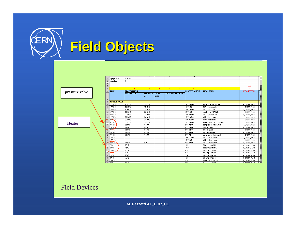

|                | $\overline{a}$ $\overline{a}$ $\overline{a}$ $\overline{a}$ $\overline{a}$ $\overline{a}$ $\overline{a}$ $\overline{a}$ $\overline{a}$ $\overline{a}$ $\overline{a}$ $\overline{a}$ $\overline{a}$ $\overline{a}$ $\overline{a}$ $\overline{a}$ $\overline{a}$ $\overline{a}$ $\overline{a}$ $\overline{a}$ $\overline{a}$ $\overline{a}$ $\overline{a}$ $\overline{a}$ $\overline{$ | the contract of the contract of | <b>B I U I</b>                | $\mathbf{U}$ and $\mathbf{U}$ |      | $\mathbf{E}$ and $\mathbf{E}$ and $\mathbf{E}$ |                       | <b>University of the Committee of the Committee of the Committee of the Committee of the Committee of the Committee</b> |                             |
|----------------|--------------------------------------------------------------------------------------------------------------------------------------------------------------------------------------------------------------------------------------------------------------------------------------------------------------------------------------------------------------------------------------|---------------------------------|-------------------------------|-------------------------------|------|------------------------------------------------|-----------------------|-------------------------------------------------------------------------------------------------------------------------|-----------------------------|
|                | 2 Equipment                                                                                                                                                                                                                                                                                                                                                                          | QSC1H                           |                               |                               |      |                                                |                       |                                                                                                                         |                             |
|                | 3 Location                                                                                                                                                                                                                                                                                                                                                                           | lc.                             |                               |                               |      |                                                |                       |                                                                                                                         |                             |
|                |                                                                                                                                                                                                                                                                                                                                                                                      |                                 |                               |                               |      |                                                |                       |                                                                                                                         |                             |
|                | 5                                                                                                                                                                                                                                                                                                                                                                                    |                                 |                               |                               |      |                                                |                       |                                                                                                                         | Help                        |
|                | $\mathbf{a}$                                                                                                                                                                                                                                                                                                                                                                         |                                 | $\bullet$                     | 3 <sup>2</sup>                | $-4$ | $5 -$                                          |                       |                                                                                                                         |                             |
| pressure valve | 7 HAME                                                                                                                                                                                                                                                                                                                                                                               | <b>PROCESS INPUT</b>            |                               |                               |      |                                                | <b>PROCESS OUTPUT</b> | <b>DESCRIPTION</b>                                                                                                      | <b>INSTANCE TYPE</b><br>lo: |
|                |                                                                                                                                                                                                                                                                                                                                                                                      | <b>FEEDBACK ON</b>              | <b>FEEDBACK</b><br><b>OFF</b> | LOCAL<br><b>DRIVE</b>         |      | <b>LOCAL ON LOCAL OFF</b>                      |                       |                                                                                                                         |                             |
|                | 8                                                                                                                                                                                                                                                                                                                                                                                    |                                 |                               |                               |      |                                                |                       |                                                                                                                         |                             |
|                | 9 DEFAULT VALUE                                                                                                                                                                                                                                                                                                                                                                      |                                 |                               |                               |      |                                                |                       |                                                                                                                         |                             |
|                | 10 1PV318                                                                                                                                                                                                                                                                                                                                                                            | 1GH318                          | 1GL318                        |                               |      |                                                | 1PV318DO              | Analyse at A173 outlet                                                                                                  | H ONOFF VALVE               |
|                | 11 1PV610                                                                                                                                                                                                                                                                                                                                                                            | 1GH610                          | 1GL610                        |                               |      |                                                | 1PV610DO              | C01 oil pump outlet                                                                                                     | H ONOFF VALVE               |
|                | 12 1PV620                                                                                                                                                                                                                                                                                                                                                                            | 1GH620                          | 1GL620                        |                               |      |                                                | 1PV620DO              | C01 oil injec, valve                                                                                                    | H ONOFF VALVE               |
|                | 13 2PV318                                                                                                                                                                                                                                                                                                                                                                            | 2GH318                          | 2GL318                        |                               |      |                                                | 2PV318DO              | Analyse at A173 inlet                                                                                                   | H ONOFF VALVE               |
|                | 14 2PV610                                                                                                                                                                                                                                                                                                                                                                            | 2GH610                          | 2GL610                        |                               |      |                                                | 2PV610DO              | C02 oil pump outlet                                                                                                     | H ONOFF VALVE               |
|                | 15 2PV620                                                                                                                                                                                                                                                                                                                                                                            | 2GH620                          | 2GL620                        |                               |      |                                                | 2PV620DO              | C02 oil injec. valve                                                                                                    | H_ONOFF_VALVE               |
|                | 16 2PV662                                                                                                                                                                                                                                                                                                                                                                            | 2GH652                          | 2GL652                        |                               |      |                                                | 2PV652DO              | HPMP oil transfer                                                                                                       | H_ONOFF_VALVE               |
|                | 3PV318<br>17 <sup>2</sup>                                                                                                                                                                                                                                                                                                                                                            | 3GH318                          | 3GL318                        |                               |      |                                                | 3PV318DO              | Analyser inlet selection valve                                                                                          | H ONOFF VALVE               |
| <b>Heater</b>  | 18 PV100                                                                                                                                                                                                                                                                                                                                                                             | GH100                           | GL100                         |                               |      |                                                | PV100DO               | compressor station inlet                                                                                                | H ONOFF VALVE               |
|                | 19 PV101                                                                                                                                                                                                                                                                                                                                                                             | GH101                           | GL101                         |                               |      |                                                | PV101DO               | By-pass PV100                                                                                                           | H ONOFF VALVE               |
|                | $\frac{1}{6}$                                                                                                                                                                                                                                                                                                                                                                        | GH115                           | GL <sub>115</sub>             |                               |      |                                                | PV115DO               | CO1 by-pass                                                                                                             | H ONOFF VALVE               |
|                | 21 PV198                                                                                                                                                                                                                                                                                                                                                                             | GH198                           | GL198                         |                               |      |                                                | PV198DO               | By-pass PV199                                                                                                           | H ONOFF VALVE               |
|                | 22 PV199                                                                                                                                                                                                                                                                                                                                                                             | GH199                           | GL199                         |                               |      |                                                | PV199DO               | compressor station outlet                                                                                               | H ONOFF VALVE               |
|                | 23 1EV128                                                                                                                                                                                                                                                                                                                                                                            |                                 |                               |                               |      |                                                | 1EV128DO              | C01 oil drain valve                                                                                                     | H ONOFF VALVE               |
|                | 24 2EV128                                                                                                                                                                                                                                                                                                                                                                            |                                 |                               |                               |      |                                                | 2EV128DO              | C02 oil drain valve                                                                                                     | H ONOFF VALVE               |
|                | 25 PV419                                                                                                                                                                                                                                                                                                                                                                             | GL419                           | GH419                         |                               |      |                                                | PV419DO               | LN2 shut-off valve                                                                                                      | H ONOFF VALVE               |
|                | 26 EH01                                                                                                                                                                                                                                                                                                                                                                              | 28K2                            |                               |                               |      |                                                | 28K1                  | Stator heater EH01                                                                                                      | H ONOFF PUMP                |
|                | 27 EH02                                                                                                                                                                                                                                                                                                                                                                              | 46K2                            |                               |                               |      |                                                | 46K1                  | Stator heater EH02                                                                                                      | H ONOFF PUMP                |
|                | 28 1P648                                                                                                                                                                                                                                                                                                                                                                             | 63K2                            |                               |                               |      |                                                | 63K1                  | oil pump LP stage                                                                                                       | H ONOFF PUMP                |
|                | 29 TP645                                                                                                                                                                                                                                                                                                                                                                             | 63K5                            |                               |                               |      |                                                | 63K4                  | oil pump LP stage                                                                                                       | H ONOFF PUMP                |
|                | 30 2P678                                                                                                                                                                                                                                                                                                                                                                             | <b>72K2</b>                     |                               |                               |      |                                                | 72K1                  | oil pump HP stage                                                                                                       | H ONOFF PUMP                |
|                | 31 2P679                                                                                                                                                                                                                                                                                                                                                                             | 72K5                            |                               |                               |      |                                                | 72K4                  | oil pump HP stage                                                                                                       | H ONOFF PUMP                |
|                | 32 12QT318                                                                                                                                                                                                                                                                                                                                                                           |                                 |                               |                               |      |                                                | 182K1                 | Analyser 182QT318                                                                                                       | H_ONOFF_PUMP                |
|                | An Innin                                                                                                                                                                                                                                                                                                                                                                             | لمنمما                          |                               |                               |      |                                                | متمما                 | المعمم ليستبد لاستنما                                                                                                   | <b>CALIFORNIA MOVEMENT</b>  |

Field Devices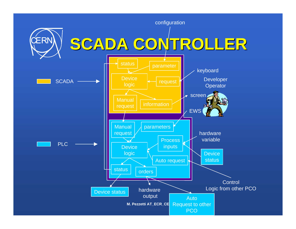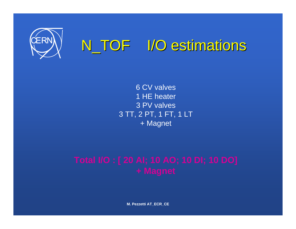

6 CV valves 1 HE heater 3 PV valves 3 TT, 2 PT, 1 FT, 1 LT + Magnet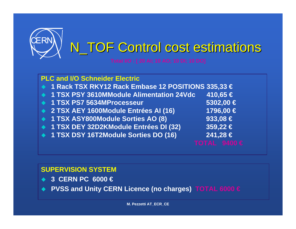

| <b>PLC and I/O Schneider Electric</b>              |                  |
|----------------------------------------------------|------------------|
| 1 Rack TSX RKY12 Rack Embase 12 POSITIONS 335,33 € |                  |
| ◆ 1 TSX PSY 3610MModule Alimentation 24Vdc         | 410,65 €         |
| ◆ 1 TSX PS7 5634MProcesseur                        | 5302,00 €        |
| ◆ 2 TSX AEY 1600Module Entrées AI (16)             | 1796,00 €        |
| ◆ 1 TSX ASY800Module Sorties AO (8)                | 933,08 $\in$     |
| ◆ 1 TSX DEY 32D2KModule Entrées DI (32)            | 359,22 €         |
| ◆ 1 TSX DSY 16T2Module Sorties DO (16)             | 241,28 €         |
|                                                    | TOTAL $9400 \in$ |

### **SUPERVISION SYSTEM**

- $\blacktriangle$ **3 CERN PC 6000 €**
- $\bullet$ **PVSS and Unity CERN Licence (no charges) TOTAL 6000 €**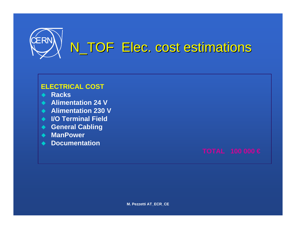

### **ELECTRICAL COST**

- $\blacktriangle$ **Racks**
- **Alimentation 24 V**
- **Alimentation 230 V**
- **I/O Terminal Field**
- **General Cabling**
- **ManPower**
- ◆ Documentation